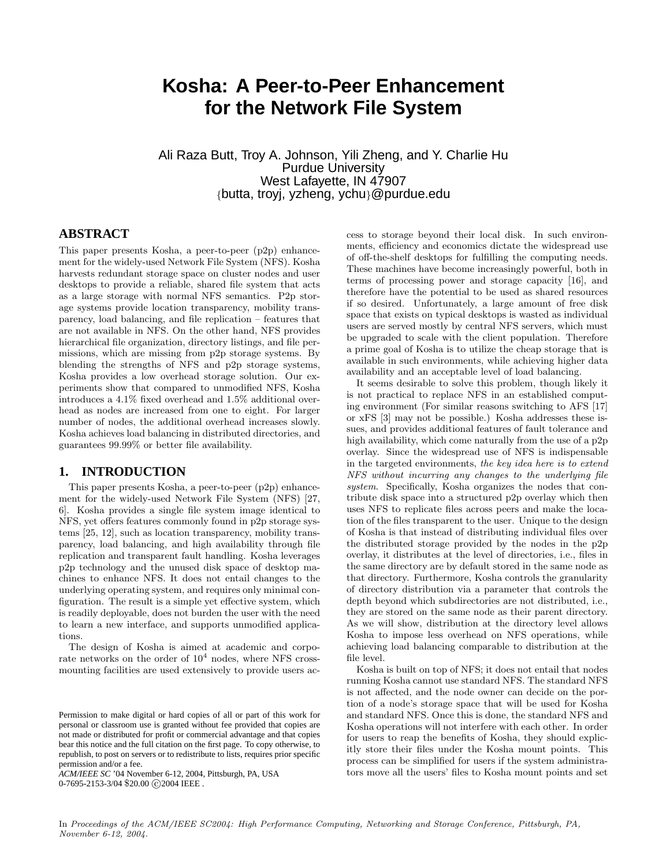# **Kosha: A Peer-to-Peer Enhancement for the Network File System**

Ali Raza Butt, Troy A. Johnson, Yili Zheng, and Y. Charlie Hu Purdue University West Lafayette, IN 47907 {butta, troyj, yzheng, ychu}@purdue.edu

# **ABSTRACT**

This paper presents Kosha, a peer-to-peer (p2p) enhancement for the widely-used Network File System (NFS). Kosha harvests redundant storage space on cluster nodes and user desktops to provide a reliable, shared file system that acts as a large storage with normal NFS semantics. P2p storage systems provide location transparency, mobility transparency, load balancing, and file replication – features that are not available in NFS. On the other hand, NFS provides hierarchical file organization, directory listings, and file permissions, which are missing from p2p storage systems. By blending the strengths of NFS and p2p storage systems, Kosha provides a low overhead storage solution. Our experiments show that compared to unmodified NFS, Kosha introduces a 4.1% fixed overhead and 1.5% additional overhead as nodes are increased from one to eight. For larger number of nodes, the additional overhead increases slowly. Kosha achieves load balancing in distributed directories, and guarantees 99.99% or better file availability.

## **1. INTRODUCTION**

This paper presents Kosha, a peer-to-peer (p2p) enhancement for the widely-used Network File System (NFS) [27, 6]. Kosha provides a single file system image identical to NFS, yet offers features commonly found in p2p storage systems [25, 12], such as location transparency, mobility transparency, load balancing, and high availability through file replication and transparent fault handling. Kosha leverages p2p technology and the unused disk space of desktop machines to enhance NFS. It does not entail changes to the underlying operating system, and requires only minimal configuration. The result is a simple yet effective system, which is readily deployable, does not burden the user with the need to learn a new interface, and supports unmodified applications.

The design of Kosha is aimed at academic and corporate networks on the order of  $10^4$  nodes, where NFS crossmounting facilities are used extensively to provide users ac-

*ACM/IEEE SC* '04 November 6-12, 2004, Pittsburgh, PA, USA 0-7695-2153-3/04 \$20.00 © 2004 IEEE.

cess to storage beyond their local disk. In such environments, efficiency and economics dictate the widespread use of off-the-shelf desktops for fulfilling the computing needs. These machines have become increasingly powerful, both in terms of processing power and storage capacity [16], and therefore have the potential to be used as shared resources if so desired. Unfortunately, a large amount of free disk space that exists on typical desktops is wasted as individual users are served mostly by central NFS servers, which must be upgraded to scale with the client population. Therefore a prime goal of Kosha is to utilize the cheap storage that is available in such environments, while achieving higher data availability and an acceptable level of load balancing.

It seems desirable to solve this problem, though likely it is not practical to replace NFS in an established computing environment (For similar reasons switching to AFS [17] or xFS [3] may not be possible.) Kosha addresses these issues, and provides additional features of fault tolerance and high availability, which come naturally from the use of a p2p overlay. Since the widespread use of NFS is indispensable in the targeted environments, the key idea here is to extend NFS without incurring any changes to the underlying file system. Specifically, Kosha organizes the nodes that contribute disk space into a structured p2p overlay which then uses NFS to replicate files across peers and make the location of the files transparent to the user. Unique to the design of Kosha is that instead of distributing individual files over the distributed storage provided by the nodes in the p2p overlay, it distributes at the level of directories, i.e., files in the same directory are by default stored in the same node as that directory. Furthermore, Kosha controls the granularity of directory distribution via a parameter that controls the depth beyond which subdirectories are not distributed, i.e., they are stored on the same node as their parent directory. As we will show, distribution at the directory level allows Kosha to impose less overhead on NFS operations, while achieving load balancing comparable to distribution at the file level.

Kosha is built on top of NFS; it does not entail that nodes running Kosha cannot use standard NFS. The standard NFS is not affected, and the node owner can decide on the portion of a node's storage space that will be used for Kosha and standard NFS. Once this is done, the standard NFS and Kosha operations will not interfere with each other. In order for users to reap the benefits of Kosha, they should explicitly store their files under the Kosha mount points. This process can be simplified for users if the system administrators move all the users' files to Kosha mount points and set

In Proceedings of the ACM/IEEE SC2004: High Performance Computing, Networking and Storage Conference, Pittsburgh, PA, November 6-12, 2004.

Permission to make digital or hard copies of all or part of this work for personal or classroom use is granted without fee provided that copies are not made or distributed for profit or commercial advantage and that copies bear this notice and the full citation on the first page. To copy otherwise, to republish, to post on servers or to redistribute to lists, requires prior specific permission and/or a fee.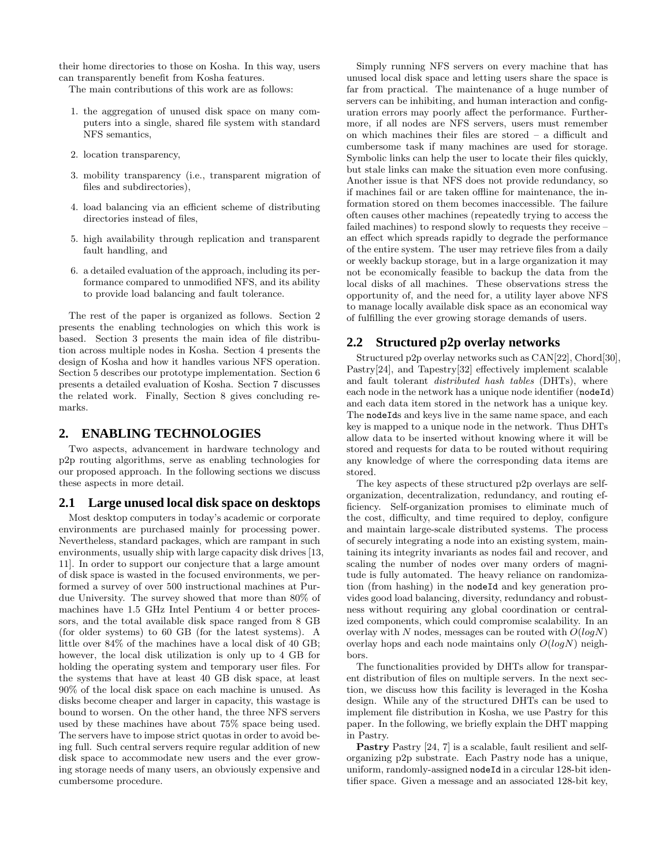their home directories to those on Kosha. In this way, users can transparently benefit from Kosha features.

The main contributions of this work are as follows:

- 1. the aggregation of unused disk space on many computers into a single, shared file system with standard NFS semantics,
- 2. location transparency,
- 3. mobility transparency (i.e., transparent migration of files and subdirectories),
- 4. load balancing via an efficient scheme of distributing directories instead of files,
- 5. high availability through replication and transparent fault handling, and
- 6. a detailed evaluation of the approach, including its performance compared to unmodified NFS, and its ability to provide load balancing and fault tolerance.

The rest of the paper is organized as follows. Section 2 presents the enabling technologies on which this work is based. Section 3 presents the main idea of file distribution across multiple nodes in Kosha. Section 4 presents the design of Kosha and how it handles various NFS operation. Section 5 describes our prototype implementation. Section 6 presents a detailed evaluation of Kosha. Section 7 discusses the related work. Finally, Section 8 gives concluding remarks.

# **2. ENABLING TECHNOLOGIES**

Two aspects, advancement in hardware technology and p2p routing algorithms, serve as enabling technologies for our proposed approach. In the following sections we discuss these aspects in more detail.

## **2.1 Large unused local disk space on desktops**

Most desktop computers in today's academic or corporate environments are purchased mainly for processing power. Nevertheless, standard packages, which are rampant in such environments, usually ship with large capacity disk drives [13, 11]. In order to support our conjecture that a large amount of disk space is wasted in the focused environments, we performed a survey of over 500 instructional machines at Purdue University. The survey showed that more than 80% of machines have 1.5 GHz Intel Pentium 4 or better processors, and the total available disk space ranged from 8 GB (for older systems) to 60 GB (for the latest systems). A little over 84% of the machines have a local disk of 40 GB; however, the local disk utilization is only up to 4 GB for holding the operating system and temporary user files. For the systems that have at least 40 GB disk space, at least 90% of the local disk space on each machine is unused. As disks become cheaper and larger in capacity, this wastage is bound to worsen. On the other hand, the three NFS servers used by these machines have about 75% space being used. The servers have to impose strict quotas in order to avoid being full. Such central servers require regular addition of new disk space to accommodate new users and the ever growing storage needs of many users, an obviously expensive and cumbersome procedure.

Simply running NFS servers on every machine that has unused local disk space and letting users share the space is far from practical. The maintenance of a huge number of servers can be inhibiting, and human interaction and configuration errors may poorly affect the performance. Furthermore, if all nodes are NFS servers, users must remember on which machines their files are stored – a difficult and cumbersome task if many machines are used for storage. Symbolic links can help the user to locate their files quickly, but stale links can make the situation even more confusing. Another issue is that NFS does not provide redundancy, so if machines fail or are taken offline for maintenance, the information stored on them becomes inaccessible. The failure often causes other machines (repeatedly trying to access the failed machines) to respond slowly to requests they receive – an effect which spreads rapidly to degrade the performance of the entire system. The user may retrieve files from a daily or weekly backup storage, but in a large organization it may not be economically feasible to backup the data from the local disks of all machines. These observations stress the opportunity of, and the need for, a utility layer above NFS to manage locally available disk space as an economical way of fulfilling the ever growing storage demands of users.

# **2.2 Structured p2p overlay networks**

Structured p2p overlay networks such as CAN[22], Chord[30], Pastry[24], and Tapestry[32] effectively implement scalable and fault tolerant distributed hash tables (DHTs), where each node in the network has a unique node identifier (nodeId) and each data item stored in the network has a unique key. The nodeIds and keys live in the same name space, and each key is mapped to a unique node in the network. Thus DHTs allow data to be inserted without knowing where it will be stored and requests for data to be routed without requiring any knowledge of where the corresponding data items are stored.

The key aspects of these structured p2p overlays are selforganization, decentralization, redundancy, and routing efficiency. Self-organization promises to eliminate much of the cost, difficulty, and time required to deploy, configure and maintain large-scale distributed systems. The process of securely integrating a node into an existing system, maintaining its integrity invariants as nodes fail and recover, and scaling the number of nodes over many orders of magnitude is fully automated. The heavy reliance on randomization (from hashing) in the nodeId and key generation provides good load balancing, diversity, redundancy and robustness without requiring any global coordination or centralized components, which could compromise scalability. In an overlay with N nodes, messages can be routed with  $O(logN)$ overlay hops and each node maintains only  $O(logN)$  neighbors.

The functionalities provided by DHTs allow for transparent distribution of files on multiple servers. In the next section, we discuss how this facility is leveraged in the Kosha design. While any of the structured DHTs can be used to implement file distribution in Kosha, we use Pastry for this paper. In the following, we briefly explain the DHT mapping in Pastry.

Pastry Pastry [24, 7] is a scalable, fault resilient and selforganizing p2p substrate. Each Pastry node has a unique, uniform, randomly-assigned nodeId in a circular 128-bit identifier space. Given a message and an associated 128-bit key,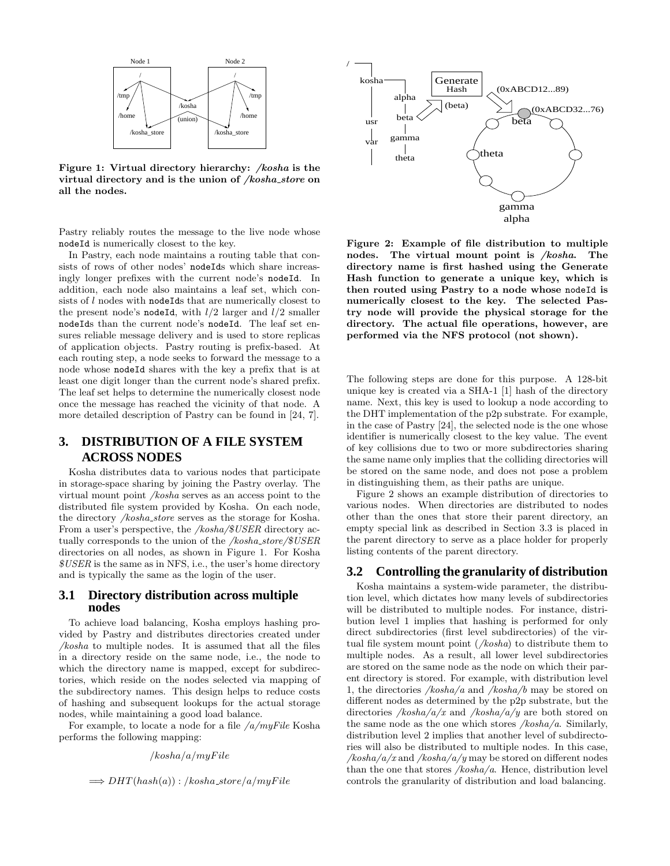

Figure 1: Virtual directory hierarchy: /kosha is the virtual directory and is the union of /kosha store on all the nodes.

Pastry reliably routes the message to the live node whose nodeId is numerically closest to the key.

In Pastry, each node maintains a routing table that consists of rows of other nodes' nodeIds which share increasingly longer prefixes with the current node's nodeId. In addition, each node also maintains a leaf set, which consists of  $l$  nodes with nodeIds that are numerically closest to the present node's nodeId, with  $l/2$  larger and  $l/2$  smaller nodeIds than the current node's nodeId. The leaf set ensures reliable message delivery and is used to store replicas of application objects. Pastry routing is prefix-based. At each routing step, a node seeks to forward the message to a node whose nodeId shares with the key a prefix that is at least one digit longer than the current node's shared prefix. The leaf set helps to determine the numerically closest node once the message has reached the vicinity of that node. A more detailed description of Pastry can be found in [24, 7].

# **3. DISTRIBUTION OF A FILE SYSTEM ACROSS NODES**

Kosha distributes data to various nodes that participate in storage-space sharing by joining the Pastry overlay. The virtual mount point /kosha serves as an access point to the distributed file system provided by Kosha. On each node, the directory /kosha store serves as the storage for Kosha. From a user's perspective, the /kosha/\$USER directory actually corresponds to the union of the /kosha store/\$USER directories on all nodes, as shown in Figure 1. For Kosha \$USER is the same as in NFS, i.e., the user's home directory and is typically the same as the login of the user.

## **3.1 Directory distribution across multiple nodes**

To achieve load balancing, Kosha employs hashing provided by Pastry and distributes directories created under /kosha to multiple nodes. It is assumed that all the files in a directory reside on the same node, i.e., the node to which the directory name is mapped, except for subdirectories, which reside on the nodes selected via mapping of the subdirectory names. This design helps to reduce costs of hashing and subsequent lookups for the actual storage nodes, while maintaining a good load balance.

For example, to locate a node for a file  $/a/myFile$  Kosha performs the following mapping:

/kosha/a/myFile

$$
\implies
$$
  $DHT(hash(a))$  :  $/kosha\_store/a/myFile$ 



Figure 2: Example of file distribution to multiple nodes. The virtual mount point is /kosha. The directory name is first hashed using the Generate Hash function to generate a unique key, which is then routed using Pastry to a node whose nodeId is numerically closest to the key. The selected Pastry node will provide the physical storage for the directory. The actual file operations, however, are performed via the NFS protocol (not shown).

The following steps are done for this purpose. A 128-bit unique key is created via a SHA-1 [1] hash of the directory name. Next, this key is used to lookup a node according to the DHT implementation of the p2p substrate. For example, in the case of Pastry [24], the selected node is the one whose identifier is numerically closest to the key value. The event of key collisions due to two or more subdirectories sharing the same name only implies that the colliding directories will be stored on the same node, and does not pose a problem in distinguishing them, as their paths are unique.

Figure 2 shows an example distribution of directories to various nodes. When directories are distributed to nodes other than the ones that store their parent directory, an empty special link as described in Section 3.3 is placed in the parent directory to serve as a place holder for properly listing contents of the parent directory.

# **3.2 Controlling the granularity of distribution**

Kosha maintains a system-wide parameter, the distribution level, which dictates how many levels of subdirectories will be distributed to multiple nodes. For instance, distribution level 1 implies that hashing is performed for only direct subdirectories (first level subdirectories) of the virtual file system mount point  $(\n/kosha)$  to distribute them to multiple nodes. As a result, all lower level subdirectories are stored on the same node as the node on which their parent directory is stored. For example, with distribution level 1, the directories /kosha/a and /kosha/b may be stored on different nodes as determined by the p2p substrate, but the directories /kosha/a/x and /kosha/a/y are both stored on the same node as the one which stores  $/kosha/a$ . Similarly, distribution level 2 implies that another level of subdirectories will also be distributed to multiple nodes. In this case,  $\frac{1}{\cosh a/a/x}$  and  $\frac{\cosh a/a/y}{x}$  may be stored on different nodes than the one that stores  $/kosha/a$ . Hence, distribution level controls the granularity of distribution and load balancing.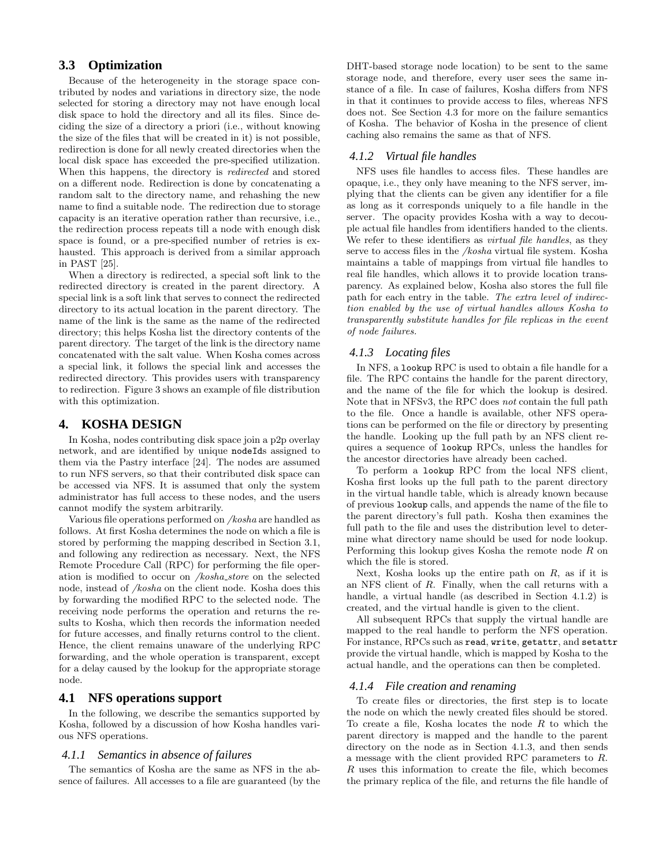# **3.3 Optimization**

Because of the heterogeneity in the storage space contributed by nodes and variations in directory size, the node selected for storing a directory may not have enough local disk space to hold the directory and all its files. Since deciding the size of a directory a priori (i.e., without knowing the size of the files that will be created in it) is not possible, redirection is done for all newly created directories when the local disk space has exceeded the pre-specified utilization. When this happens, the directory is *redirected* and stored on a different node. Redirection is done by concatenating a random salt to the directory name, and rehashing the new name to find a suitable node. The redirection due to storage capacity is an iterative operation rather than recursive, i.e., the redirection process repeats till a node with enough disk space is found, or a pre-specified number of retries is exhausted. This approach is derived from a similar approach in PAST [25].

When a directory is redirected, a special soft link to the redirected directory is created in the parent directory. A special link is a soft link that serves to connect the redirected directory to its actual location in the parent directory. The name of the link is the same as the name of the redirected directory; this helps Kosha list the directory contents of the parent directory. The target of the link is the directory name concatenated with the salt value. When Kosha comes across a special link, it follows the special link and accesses the redirected directory. This provides users with transparency to redirection. Figure 3 shows an example of file distribution with this optimization.

## **4. KOSHA DESIGN**

In Kosha, nodes contributing disk space join a p2p overlay network, and are identified by unique nodeIds assigned to them via the Pastry interface [24]. The nodes are assumed to run NFS servers, so that their contributed disk space can be accessed via NFS. It is assumed that only the system administrator has full access to these nodes, and the users cannot modify the system arbitrarily.

Various file operations performed on /kosha are handled as follows. At first Kosha determines the node on which a file is stored by performing the mapping described in Section 3.1, and following any redirection as necessary. Next, the NFS Remote Procedure Call (RPC) for performing the file operation is modified to occur on /kosha store on the selected node, instead of /kosha on the client node. Kosha does this by forwarding the modified RPC to the selected node. The receiving node performs the operation and returns the results to Kosha, which then records the information needed for future accesses, and finally returns control to the client. Hence, the client remains unaware of the underlying RPC forwarding, and the whole operation is transparent, except for a delay caused by the lookup for the appropriate storage node.

## **4.1 NFS operations support**

In the following, we describe the semantics supported by Kosha, followed by a discussion of how Kosha handles various NFS operations.

#### *4.1.1 Semantics in absence of failures*

The semantics of Kosha are the same as NFS in the absence of failures. All accesses to a file are guaranteed (by the DHT-based storage node location) to be sent to the same storage node, and therefore, every user sees the same instance of a file. In case of failures, Kosha differs from NFS in that it continues to provide access to files, whereas NFS does not. See Section 4.3 for more on the failure semantics of Kosha. The behavior of Kosha in the presence of client caching also remains the same as that of NFS.

## *4.1.2 Virtual file handles*

NFS uses file handles to access files. These handles are opaque, i.e., they only have meaning to the NFS server, implying that the clients can be given any identifier for a file as long as it corresponds uniquely to a file handle in the server. The opacity provides Kosha with a way to decouple actual file handles from identifiers handed to the clients. We refer to these identifiers as *virtual file handles*, as they serve to access files in the /kosha virtual file system. Kosha maintains a table of mappings from virtual file handles to real file handles, which allows it to provide location transparency. As explained below, Kosha also stores the full file path for each entry in the table. The extra level of indirection enabled by the use of virtual handles allows Kosha to transparently substitute handles for file replicas in the event of node failures.

#### *4.1.3 Locating files*

In NFS, a lookup RPC is used to obtain a file handle for a file. The RPC contains the handle for the parent directory, and the name of the file for which the lookup is desired. Note that in NFSv3, the RPC does not contain the full path to the file. Once a handle is available, other NFS operations can be performed on the file or directory by presenting the handle. Looking up the full path by an NFS client requires a sequence of lookup RPCs, unless the handles for the ancestor directories have already been cached.

To perform a lookup RPC from the local NFS client, Kosha first looks up the full path to the parent directory in the virtual handle table, which is already known because of previous lookup calls, and appends the name of the file to the parent directory's full path. Kosha then examines the full path to the file and uses the distribution level to determine what directory name should be used for node lookup. Performing this lookup gives Kosha the remote node R on which the file is stored.

Next, Kosha looks up the entire path on  $R$ , as if it is an NFS client of R. Finally, when the call returns with a handle, a virtual handle (as described in Section 4.1.2) is created, and the virtual handle is given to the client.

All subsequent RPCs that supply the virtual handle are mapped to the real handle to perform the NFS operation. For instance, RPCs such as read, write, getattr, and setattr provide the virtual handle, which is mapped by Kosha to the actual handle, and the operations can then be completed.

#### *4.1.4 File creation and renaming*

To create files or directories, the first step is to locate the node on which the newly created files should be stored. To create a file, Kosha locates the node  $R$  to which the parent directory is mapped and the handle to the parent directory on the node as in Section 4.1.3, and then sends a message with the client provided RPC parameters to R. R uses this information to create the file, which becomes the primary replica of the file, and returns the file handle of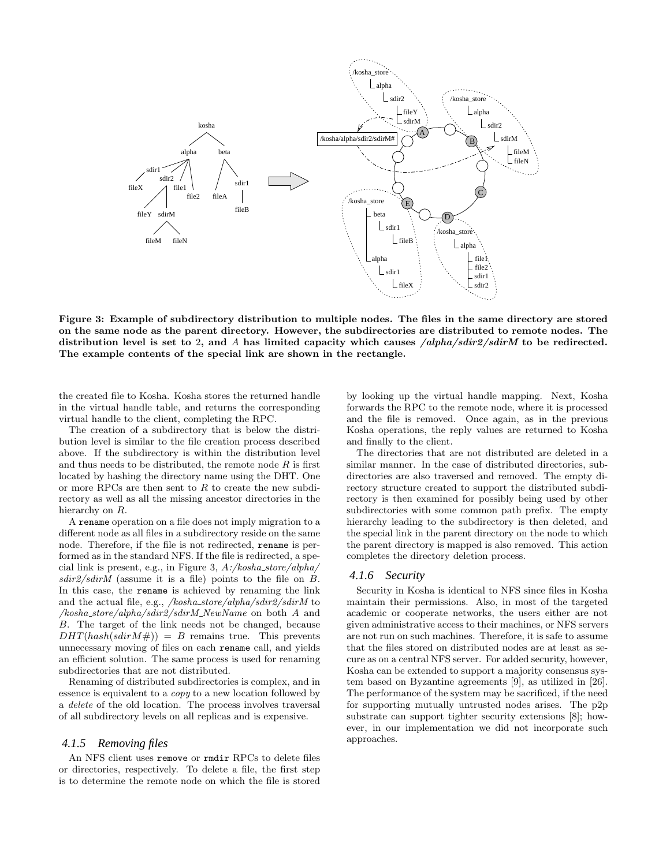

Figure 3: Example of subdirectory distribution to multiple nodes. The files in the same directory are stored on the same node as the parent directory. However, the subdirectories are distributed to remote nodes. The distribution level is set to 2, and A has limited capacity which causes  $\alpha$ - $\alpha$  /alpha/sdir $\alpha$ /sdirM to be redirected. The example contents of the special link are shown in the rectangle.

the created file to Kosha. Kosha stores the returned handle in the virtual handle table, and returns the corresponding virtual handle to the client, completing the RPC.

The creation of a subdirectory that is below the distribution level is similar to the file creation process described above. If the subdirectory is within the distribution level and thus needs to be distributed, the remote node  $R$  is first located by hashing the directory name using the DHT. One or more RPCs are then sent to  $R$  to create the new subdirectory as well as all the missing ancestor directories in the hierarchy on R.

A rename operation on a file does not imply migration to a different node as all files in a subdirectory reside on the same node. Therefore, if the file is not redirected, rename is performed as in the standard NFS. If the file is redirected, a special link is present, e.g., in Figure 3, A:/kosha store/alpha/  $sdir2/sdirM$  (assume it is a file) points to the file on B. In this case, the rename is achieved by renaming the link and the actual file, e.g., /kosha\_store/alpha/sdir2/sdirM to /kosha store/alpha/sdir2/sdirM NewName on both A and B. The target of the link needs not be changed, because  $DHT(hash(sdirM\#)) = B$  remains true. This prevents unnecessary moving of files on each rename call, and yields an efficient solution. The same process is used for renaming subdirectories that are not distributed.

Renaming of distributed subdirectories is complex, and in essence is equivalent to a copy to a new location followed by a delete of the old location. The process involves traversal of all subdirectory levels on all replicas and is expensive.

#### *4.1.5 Removing files*

An NFS client uses remove or rmdir RPCs to delete files or directories, respectively. To delete a file, the first step is to determine the remote node on which the file is stored by looking up the virtual handle mapping. Next, Kosha forwards the RPC to the remote node, where it is processed and the file is removed. Once again, as in the previous Kosha operations, the reply values are returned to Kosha and finally to the client.

The directories that are not distributed are deleted in a similar manner. In the case of distributed directories, subdirectories are also traversed and removed. The empty directory structure created to support the distributed subdirectory is then examined for possibly being used by other subdirectories with some common path prefix. The empty hierarchy leading to the subdirectory is then deleted, and the special link in the parent directory on the node to which the parent directory is mapped is also removed. This action completes the directory deletion process.

#### *4.1.6 Security*

Security in Kosha is identical to NFS since files in Kosha maintain their permissions. Also, in most of the targeted academic or cooperate networks, the users either are not given administrative access to their machines, or NFS servers are not run on such machines. Therefore, it is safe to assume that the files stored on distributed nodes are at least as secure as on a central NFS server. For added security, however, Kosha can be extended to support a majority consensus system based on Byzantine agreements [9], as utilized in [26]. The performance of the system may be sacrificed, if the need for supporting mutually untrusted nodes arises. The p2p substrate can support tighter security extensions [8]; however, in our implementation we did not incorporate such approaches.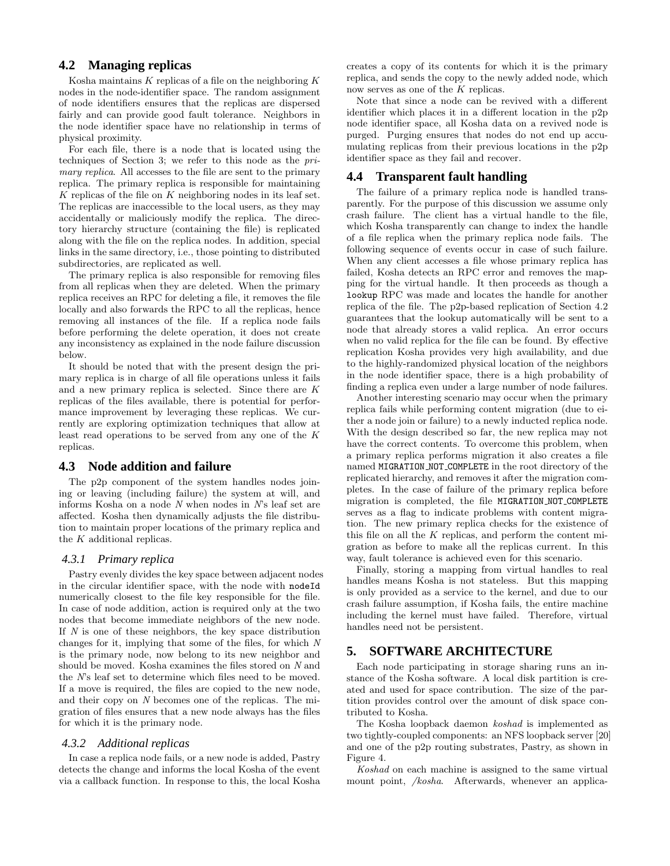# **4.2 Managing replicas**

Kosha maintains  $K$  replicas of a file on the neighboring  $K$ nodes in the node-identifier space. The random assignment of node identifiers ensures that the replicas are dispersed fairly and can provide good fault tolerance. Neighbors in the node identifier space have no relationship in terms of physical proximity.

For each file, there is a node that is located using the techniques of Section 3; we refer to this node as the primary replica. All accesses to the file are sent to the primary replica. The primary replica is responsible for maintaining  $K$  replicas of the file on  $K$  neighboring nodes in its leaf set. The replicas are inaccessible to the local users, as they may accidentally or maliciously modify the replica. The directory hierarchy structure (containing the file) is replicated along with the file on the replica nodes. In addition, special links in the same directory, i.e., those pointing to distributed subdirectories, are replicated as well.

The primary replica is also responsible for removing files from all replicas when they are deleted. When the primary replica receives an RPC for deleting a file, it removes the file locally and also forwards the RPC to all the replicas, hence removing all instances of the file. If a replica node fails before performing the delete operation, it does not create any inconsistency as explained in the node failure discussion below.

It should be noted that with the present design the primary replica is in charge of all file operations unless it fails and a new primary replica is selected. Since there are K replicas of the files available, there is potential for performance improvement by leveraging these replicas. We currently are exploring optimization techniques that allow at least read operations to be served from any one of the K replicas.

## **4.3 Node addition and failure**

The p2p component of the system handles nodes joining or leaving (including failure) the system at will, and informs Kosha on a node  $N$  when nodes in  $N$ 's leaf set are affected. Kosha then dynamically adjusts the file distribution to maintain proper locations of the primary replica and the  $K$  additional replicas.

#### *4.3.1 Primary replica*

Pastry evenly divides the key space between adjacent nodes in the circular identifier space, with the node with nodeId numerically closest to the file key responsible for the file. In case of node addition, action is required only at the two nodes that become immediate neighbors of the new node. If  $N$  is one of these neighbors, the key space distribution changes for it, implying that some of the files, for which N is the primary node, now belong to its new neighbor and should be moved. Kosha examines the files stored on N and the N's leaf set to determine which files need to be moved. If a move is required, the files are copied to the new node, and their copy on N becomes one of the replicas. The migration of files ensures that a new node always has the files for which it is the primary node.

#### *4.3.2 Additional replicas*

In case a replica node fails, or a new node is added, Pastry detects the change and informs the local Kosha of the event via a callback function. In response to this, the local Kosha creates a copy of its contents for which it is the primary replica, and sends the copy to the newly added node, which now serves as one of the K replicas.

Note that since a node can be revived with a different identifier which places it in a different location in the p2p node identifier space, all Kosha data on a revived node is purged. Purging ensures that nodes do not end up accumulating replicas from their previous locations in the p2p identifier space as they fail and recover.

#### **4.4 Transparent fault handling**

The failure of a primary replica node is handled transparently. For the purpose of this discussion we assume only crash failure. The client has a virtual handle to the file, which Kosha transparently can change to index the handle of a file replica when the primary replica node fails. The following sequence of events occur in case of such failure. When any client accesses a file whose primary replica has failed, Kosha detects an RPC error and removes the mapping for the virtual handle. It then proceeds as though a lookup RPC was made and locates the handle for another replica of the file. The p2p-based replication of Section 4.2 guarantees that the lookup automatically will be sent to a node that already stores a valid replica. An error occurs when no valid replica for the file can be found. By effective replication Kosha provides very high availability, and due to the highly-randomized physical location of the neighbors in the node identifier space, there is a high probability of finding a replica even under a large number of node failures.

Another interesting scenario may occur when the primary replica fails while performing content migration (due to either a node join or failure) to a newly inducted replica node. With the design described so far, the new replica may not have the correct contents. To overcome this problem, when a primary replica performs migration it also creates a file named MIGRATION NOT COMPLETE in the root directory of the replicated hierarchy, and removes it after the migration completes. In the case of failure of the primary replica before migration is completed, the file MIGRATION NOT COMPLETE serves as a flag to indicate problems with content migration. The new primary replica checks for the existence of this file on all the  $K$  replicas, and perform the content migration as before to make all the replicas current. In this way, fault tolerance is achieved even for this scenario.

Finally, storing a mapping from virtual handles to real handles means Kosha is not stateless. But this mapping is only provided as a service to the kernel, and due to our crash failure assumption, if Kosha fails, the entire machine including the kernel must have failed. Therefore, virtual handles need not be persistent.

## **5. SOFTWARE ARCHITECTURE**

Each node participating in storage sharing runs an instance of the Kosha software. A local disk partition is created and used for space contribution. The size of the partition provides control over the amount of disk space contributed to Kosha.

The Kosha loopback daemon koshad is implemented as two tightly-coupled components: an NFS loopback server [20] and one of the p2p routing substrates, Pastry, as shown in Figure 4.

Koshad on each machine is assigned to the same virtual mount point, /kosha. Afterwards, whenever an applica-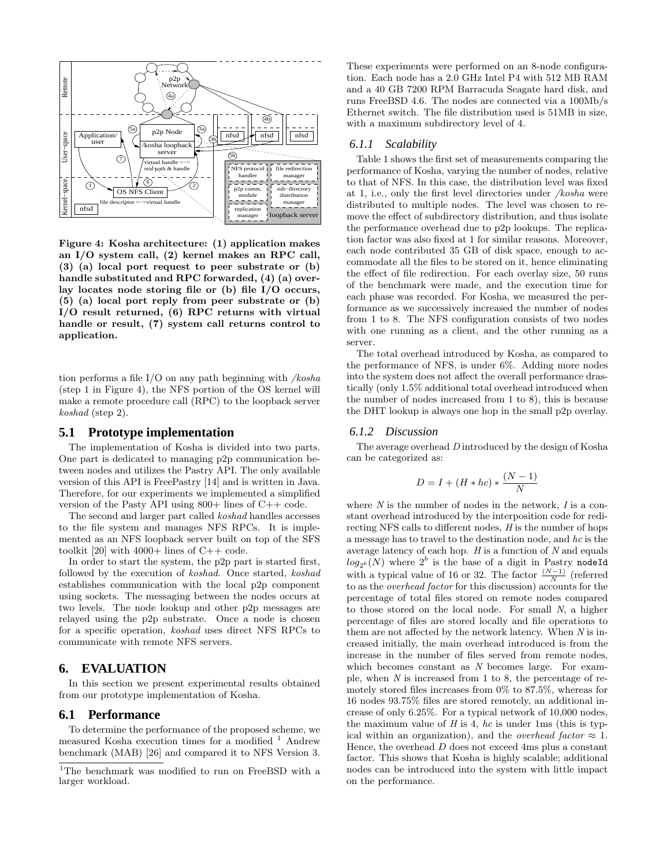

Figure 4: Kosha architecture: (1) application makes an I/O system call, (2) kernel makes an RPC call, (3) (a) local port request to peer substrate or (b) handle substituted and RPC forwarded, (4) (a) overlay locates node storing file or (b) file I/O occurs, (5) (a) local port reply from peer substrate or (b) I/O result returned, (6) RPC returns with virtual handle or result, (7) system call returns control to application.

tion performs a file I/O on any path beginning with /kosha (step 1 in Figure 4), the NFS portion of the OS kernel will make a remote procedure call (RPC) to the loopback server koshad (step 2).

### **5.1 Prototype implementation**

The implementation of Kosha is divided into two parts. One part is dedicated to managing p2p communication between nodes and utilizes the Pastry API. The only available version of this API is FreePastry [14] and is written in Java. Therefore, for our experiments we implemented a simplified version of the Pasty API using  $800+$  lines of C++ code.

The second and larger part called koshad handles accesses to the file system and manages NFS RPCs. It is implemented as an NFS loopback server built on top of the SFS toolkit [20] with  $4000+$  lines of C++ code.

In order to start the system, the p2p part is started first, followed by the execution of koshad. Once started, koshad establishes communication with the local p2p component using sockets. The messaging between the nodes occurs at two levels. The node lookup and other p2p messages are relayed using the p2p substrate. Once a node is chosen for a specific operation, koshad uses direct NFS RPCs to communicate with remote NFS servers.

#### **6. EVALUATION**

In this section we present experimental results obtained from our prototype implementation of Kosha.

#### **6.1 Performance**

To determine the performance of the proposed scheme, we measured Kosha execution times for a modified <sup>1</sup> Andrew benchmark (MAB) [26] and compared it to NFS Version 3.

These experiments were performed on an 8-node configuration. Each node has a 2.0 GHz Intel P4 with 512 MB RAM and a 40 GB 7200 RPM Barracuda Seagate hard disk, and runs FreeBSD 4.6. The nodes are connected via a 100Mb/s Ethernet switch. The file distribution used is 51MB in size, with a maximum subdirectory level of 4.

#### *6.1.1 Scalability*

Table 1 shows the first set of measurements comparing the performance of Kosha, varying the number of nodes, relative to that of NFS. In this case, the distribution level was fixed at 1, i.e., only the first level directories under /kosha were distributed to multiple nodes. The level was chosen to remove the effect of subdirectory distribution, and thus isolate the performance overhead due to p2p lookups. The replication factor was also fixed at 1 for similar reasons. Moreover, each node contributed 35 GB of disk space, enough to accommodate all the files to be stored on it, hence eliminating the effect of file redirection. For each overlay size, 50 runs of the benchmark were made, and the execution time for each phase was recorded. For Kosha, we measured the performance as we successively increased the number of nodes from 1 to 8. The NFS configuration consists of two nodes with one running as a client, and the other running as a server.

The total overhead introduced by Kosha, as compared to the performance of NFS, is under 6%. Adding more nodes into the system does not affect the overall performance drastically (only 1.5% additional total overhead introduced when the number of nodes increased from 1 to 8), this is because the DHT lookup is always one hop in the small p2p overlay.

#### *6.1.2 Discussion*

The average overhead D introduced by the design of Kosha can be categorized as:

$$
D = I + (H * hc) * \frac{(N-1)}{N}
$$

where  $N$  is the number of nodes in the network,  $I$  is a constant overhead introduced by the interposition code for redirecting NFS calls to different nodes,  $H$  is the number of hops a message has to travel to the destination node, and hc is the average latency of each hop.  $H$  is a function of  $N$  and equals  $log_{2^b}(N)$  where  $2^b$  is the base of a digit in Pastry nodeId with a typical value of 16 or 32. The factor  $\frac{(N-1)}{N}$  (referred to as the overhead factor for this discussion) accounts for the percentage of total files stored on remote nodes compared to those stored on the local node. For small N, a higher percentage of files are stored locally and file operations to them are not affected by the network latency. When N is increased initially, the main overhead introduced is from the increase in the number of files served from remote nodes, which becomes constant as N becomes large. For example, when N is increased from 1 to 8, the percentage of remotely stored files increases from 0% to 87.5%, whereas for 16 nodes 93.75% files are stored remotely, an additional increase of only 6.25%. For a typical network of 10,000 nodes, the maximum value of  $H$  is 4,  $hc$  is under 1ms (this is typical within an organization), and the *overhead factor*  $\approx 1$ . Hence, the overhead  $D$  does not exceed 4ms plus a constant factor. This shows that Kosha is highly scalable; additional nodes can be introduced into the system with little impact on the performance.

 $^1\rm{The~benchmark~was~modified~to~run~on~FreeBSD~with~a}$ larger workload.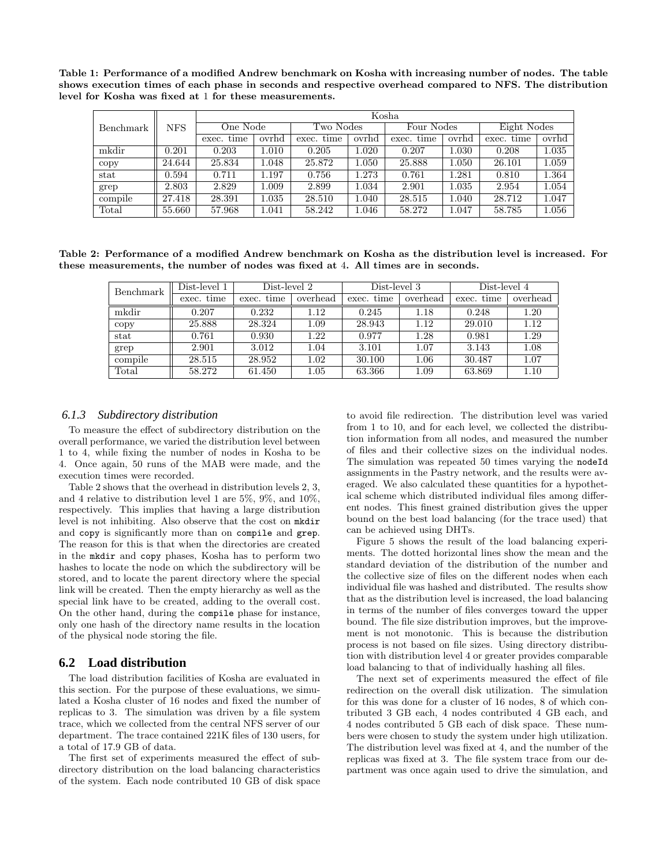Table 1: Performance of a modified Andrew benchmark on Kosha with increasing number of nodes. The table shows execution times of each phase in seconds and respective overhead compared to NFS. The distribution level for Kosha was fixed at 1 for these measurements.

|           | <b>NFS</b> | Kosha         |           |               |       |               |       |             |       |  |
|-----------|------------|---------------|-----------|---------------|-------|---------------|-------|-------------|-------|--|
| Benchmark |            | One Node      |           | Two Nodes     |       | Four Nodes    |       | Eight Nodes |       |  |
|           |            | time<br>exec. | ovrhd     | time<br>exec. | ovrhd | time<br>exec. | ovrhd | exec. time  | ovrhd |  |
| mkdir     | 0.201      | 0.203         | $1.010\,$ | 0.205         | 1.020 | 0.207         | 1.030 | 0.208       | 1.035 |  |
| copy      | 24.644     | 25.834        | 1.048     | 25.872        | 1.050 | 25.888        | 1.050 | 26.101      | 1.059 |  |
| stat      | 0.594      | 0.711         | .197      | 0.756         | 1.273 | 0.761         | 1.281 | 0.810       | 1.364 |  |
| grep      | 2.803      | 2.829         | 1.009     | 2.899         | 1.034 | 2.901         | 1.035 | 2.954       | 1.054 |  |
| compile   | 27.418     | 28.391        | .035      | 28.510        | 1.040 | 28.515        | 1.040 | 28.712      | 1.047 |  |
| Total     | 55.660     | 57.968        | 041       | 58.242        | 1.046 | 58.272        | 1.047 | 58.785      | 1.056 |  |

Table 2: Performance of a modified Andrew benchmark on Kosha as the distribution level is increased. For these measurements, the number of nodes was fixed at 4. All times are in seconds.

| Benchmark            | Dist-level 1  | Dist-level 2 |          | Dist-level 3 |          | Dist-level 4  |          |  |
|----------------------|---------------|--------------|----------|--------------|----------|---------------|----------|--|
|                      | time<br>exec. | exec. time   | overhead | exec. time   | overhead | time<br>exec. | overhead |  |
| mkdir                | 0.207         | 0.232        | 1.12     | 0.245        | 1.18     | 0.248         | 1.20     |  |
| copy                 | 25.888        | 28.324       | 1.09     | 28.943       | 1.12     | 29.010        | 1.12     |  |
| stat                 | 0.761         | 0.930        | 1.22     | 0.977        | 1.28     | 0.981         | 1.29     |  |
| grep                 | 2.901         | 3.012        | 1.04     | 3.101        | 1.07     | 3.143         | 1.08     |  |
| $compi\overline{le}$ | 28.515        | 28.952       | 1.02     | 30.100       | 1.06     | 30.487        | 1.07     |  |
| Total                | 58.272        | 61.450       | 1.05     | 63.366       | 1.09     | 63.869        | 1.10     |  |

#### *6.1.3 Subdirectory distribution*

To measure the effect of subdirectory distribution on the overall performance, we varied the distribution level between 1 to 4, while fixing the number of nodes in Kosha to be 4. Once again, 50 runs of the MAB were made, and the execution times were recorded.

Table 2 shows that the overhead in distribution levels 2, 3, and 4 relative to distribution level 1 are 5%, 9%, and 10%, respectively. This implies that having a large distribution level is not inhibiting. Also observe that the cost on mkdir and copy is significantly more than on compile and grep. The reason for this is that when the directories are created in the mkdir and copy phases, Kosha has to perform two hashes to locate the node on which the subdirectory will be stored, and to locate the parent directory where the special link will be created. Then the empty hierarchy as well as the special link have to be created, adding to the overall cost. On the other hand, during the compile phase for instance, only one hash of the directory name results in the location of the physical node storing the file.

#### **6.2 Load distribution**

The load distribution facilities of Kosha are evaluated in this section. For the purpose of these evaluations, we simulated a Kosha cluster of 16 nodes and fixed the number of replicas to 3. The simulation was driven by a file system trace, which we collected from the central NFS server of our department. The trace contained 221K files of 130 users, for a total of 17.9 GB of data.

The first set of experiments measured the effect of subdirectory distribution on the load balancing characteristics of the system. Each node contributed 10 GB of disk space to avoid file redirection. The distribution level was varied from 1 to 10, and for each level, we collected the distribution information from all nodes, and measured the number of files and their collective sizes on the individual nodes. The simulation was repeated 50 times varying the nodeId assignments in the Pastry network, and the results were averaged. We also calculated these quantities for a hypothetical scheme which distributed individual files among different nodes. This finest grained distribution gives the upper bound on the best load balancing (for the trace used) that can be achieved using DHTs.

Figure 5 shows the result of the load balancing experiments. The dotted horizontal lines show the mean and the standard deviation of the distribution of the number and the collective size of files on the different nodes when each individual file was hashed and distributed. The results show that as the distribution level is increased, the load balancing in terms of the number of files converges toward the upper bound. The file size distribution improves, but the improvement is not monotonic. This is because the distribution process is not based on file sizes. Using directory distribution with distribution level 4 or greater provides comparable load balancing to that of individually hashing all files.

The next set of experiments measured the effect of file redirection on the overall disk utilization. The simulation for this was done for a cluster of 16 nodes, 8 of which contributed 3 GB each, 4 nodes contributed 4 GB each, and 4 nodes contributed 5 GB each of disk space. These numbers were chosen to study the system under high utilization. The distribution level was fixed at 4, and the number of the replicas was fixed at 3. The file system trace from our department was once again used to drive the simulation, and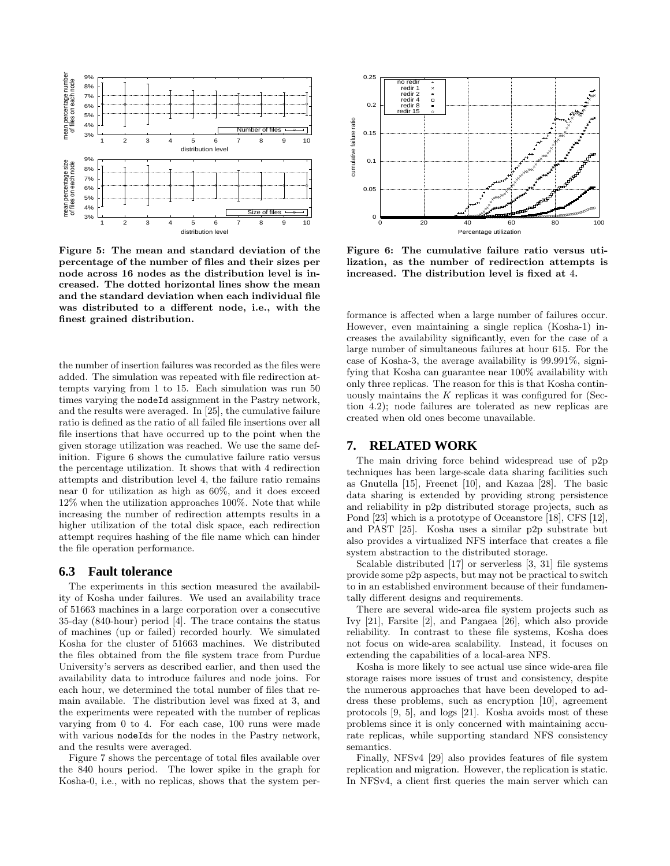

Figure 5: The mean and standard deviation of the percentage of the number of files and their sizes per node across 16 nodes as the distribution level is increased. The dotted horizontal lines show the mean and the standard deviation when each individual file was distributed to a different node, i.e., with the finest grained distribution.

the number of insertion failures was recorded as the files were added. The simulation was repeated with file redirection attempts varying from 1 to 15. Each simulation was run 50 times varying the nodeId assignment in the Pastry network, and the results were averaged. In [25], the cumulative failure ratio is defined as the ratio of all failed file insertions over all file insertions that have occurred up to the point when the given storage utilization was reached. We use the same definition. Figure 6 shows the cumulative failure ratio versus the percentage utilization. It shows that with 4 redirection attempts and distribution level 4, the failure ratio remains near 0 for utilization as high as 60%, and it does exceed 12% when the utilization approaches 100%. Note that while increasing the number of redirection attempts results in a higher utilization of the total disk space, each redirection attempt requires hashing of the file name which can hinder the file operation performance.

## **6.3 Fault tolerance**

The experiments in this section measured the availability of Kosha under failures. We used an availability trace of 51663 machines in a large corporation over a consecutive 35-day (840-hour) period [4]. The trace contains the status of machines (up or failed) recorded hourly. We simulated Kosha for the cluster of 51663 machines. We distributed the files obtained from the file system trace from Purdue University's servers as described earlier, and then used the availability data to introduce failures and node joins. For each hour, we determined the total number of files that remain available. The distribution level was fixed at 3, and the experiments were repeated with the number of replicas varying from 0 to 4. For each case, 100 runs were made with various nodeIds for the nodes in the Pastry network, and the results were averaged.

Figure 7 shows the percentage of total files available over the 840 hours period. The lower spike in the graph for Kosha-0, i.e., with no replicas, shows that the system per-



Figure 6: The cumulative failure ratio versus utilization, as the number of redirection attempts is increased. The distribution level is fixed at 4.

formance is affected when a large number of failures occur. However, even maintaining a single replica (Kosha-1) increases the availability significantly, even for the case of a large number of simultaneous failures at hour 615. For the case of Kosha-3, the average availability is 99.991%, signifying that Kosha can guarantee near 100% availability with only three replicas. The reason for this is that Kosha continuously maintains the  $K$  replicas it was configured for (Section 4.2); node failures are tolerated as new replicas are created when old ones become unavailable.

## **7. RELATED WORK**

The main driving force behind widespread use of p2p techniques has been large-scale data sharing facilities such as Gnutella [15], Freenet [10], and Kazaa [28]. The basic data sharing is extended by providing strong persistence and reliability in p2p distributed storage projects, such as Pond [23] which is a prototype of Oceanstore [18], CFS [12], and PAST [25]. Kosha uses a similar p2p substrate but also provides a virtualized NFS interface that creates a file system abstraction to the distributed storage.

Scalable distributed [17] or serverless [3, 31] file systems provide some p2p aspects, but may not be practical to switch to in an established environment because of their fundamentally different designs and requirements.

There are several wide-area file system projects such as Ivy [21], Farsite [2], and Pangaea [26], which also provide reliability. In contrast to these file systems, Kosha does not focus on wide-area scalability. Instead, it focuses on extending the capabilities of a local-area NFS.

Kosha is more likely to see actual use since wide-area file storage raises more issues of trust and consistency, despite the numerous approaches that have been developed to address these problems, such as encryption [10], agreement protocols [9, 5], and logs [21]. Kosha avoids most of these problems since it is only concerned with maintaining accurate replicas, while supporting standard NFS consistency semantics.

Finally, NFSv4 [29] also provides features of file system replication and migration. However, the replication is static. In NFSv4, a client first queries the main server which can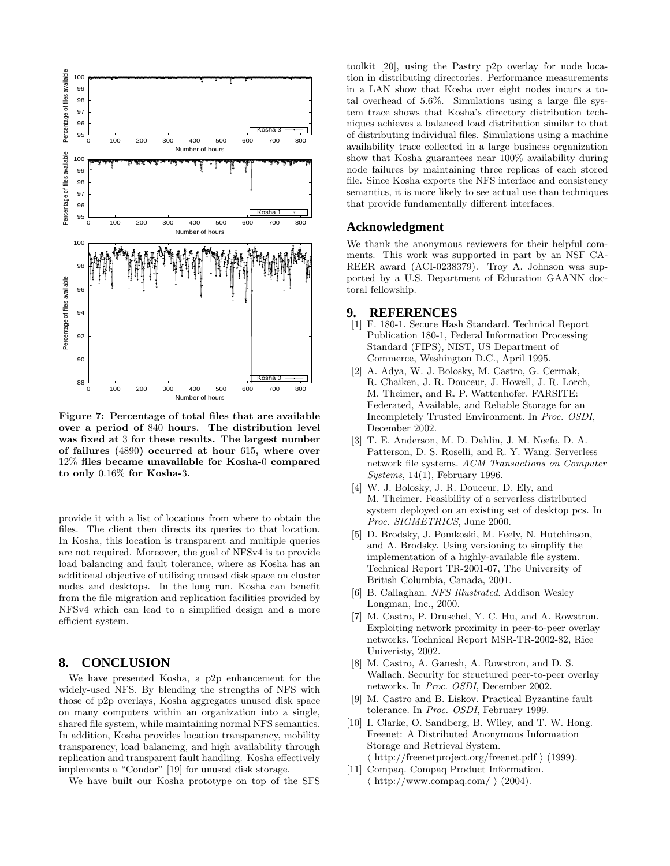

Figure 7: Percentage of total files that are available over a period of 840 hours. The distribution level was fixed at 3 for these results. The largest number of failures (4890) occurred at hour 615, where over 12% files became unavailable for Kosha-0 compared to only 0.16% for Kosha-3.

provide it with a list of locations from where to obtain the files. The client then directs its queries to that location. In Kosha, this location is transparent and multiple queries are not required. Moreover, the goal of NFSv4 is to provide load balancing and fault tolerance, where as Kosha has an additional objective of utilizing unused disk space on cluster nodes and desktops. In the long run, Kosha can benefit from the file migration and replication facilities provided by NFSv4 which can lead to a simplified design and a more efficient system.

## **8. CONCLUSION**

We have presented Kosha, a p2p enhancement for the widely-used NFS. By blending the strengths of NFS with those of p2p overlays, Kosha aggregates unused disk space on many computers within an organization into a single, shared file system, while maintaining normal NFS semantics. In addition, Kosha provides location transparency, mobility transparency, load balancing, and high availability through replication and transparent fault handling. Kosha effectively implements a "Condor" [19] for unused disk storage.

We have built our Kosha prototype on top of the SFS

toolkit [20], using the Pastry p2p overlay for node location in distributing directories. Performance measurements in a LAN show that Kosha over eight nodes incurs a total overhead of 5.6%. Simulations using a large file system trace shows that Kosha's directory distribution techniques achieves a balanced load distribution similar to that of distributing individual files. Simulations using a machine availability trace collected in a large business organization show that Kosha guarantees near 100% availability during node failures by maintaining three replicas of each stored file. Since Kosha exports the NFS interface and consistency semantics, it is more likely to see actual use than techniques that provide fundamentally different interfaces.

## **Acknowledgment**

We thank the anonymous reviewers for their helpful comments. This work was supported in part by an NSF CA-REER award (ACI-0238379). Troy A. Johnson was supported by a U.S. Department of Education GAANN doctoral fellowship.

## **9. REFERENCES**

- [1] F. 180-1. Secure Hash Standard. Technical Report Publication 180-1, Federal Information Processing Standard (FIPS), NIST, US Department of Commerce, Washington D.C., April 1995.
- [2] A. Adya, W. J. Bolosky, M. Castro, G. Cermak, R. Chaiken, J. R. Douceur, J. Howell, J. R. Lorch, M. Theimer, and R. P. Wattenhofer. FARSITE: Federated, Available, and Reliable Storage for an Incompletely Trusted Environment. In Proc. OSDI, December 2002.
- [3] T. E. Anderson, M. D. Dahlin, J. M. Neefe, D. A. Patterson, D. S. Roselli, and R. Y. Wang. Serverless network file systems. ACM Transactions on Computer Systems, 14(1), February 1996.
- [4] W. J. Bolosky, J. R. Douceur, D. Ely, and M. Theimer. Feasibility of a serverless distributed system deployed on an existing set of desktop pcs. In Proc. SIGMETRICS, June 2000.
- [5] D. Brodsky, J. Pomkoski, M. Feely, N. Hutchinson, and A. Brodsky. Using versioning to simplify the implementation of a highly-available file system. Technical Report TR-2001-07, The University of British Columbia, Canada, 2001.
- [6] B. Callaghan. NFS Illustrated. Addison Wesley Longman, Inc., 2000.
- [7] M. Castro, P. Druschel, Y. C. Hu, and A. Rowstron. Exploiting network proximity in peer-to-peer overlay networks. Technical Report MSR-TR-2002-82, Rice Univeristy, 2002.
- [8] M. Castro, A. Ganesh, A. Rowstron, and D. S. Wallach. Security for structured peer-to-peer overlay networks. In Proc. OSDI, December 2002.
- [9] M. Castro and B. Liskov. Practical Byzantine fault tolerance. In Proc. OSDI, February 1999.
- [10] I. Clarke, O. Sandberg, B. Wiley, and T. W. Hong. Freenet: A Distributed Anonymous Information Storage and Retrieval System.  $\langle \text{ http://freenetproject.org/freenet.pdf } \rangle$  (1999).
- [11] Compaq. Compaq Product Information.  $\langle \:\mathrm{http://www.compaq.com/}\:\rangle\:\langle 2004\rangle.$